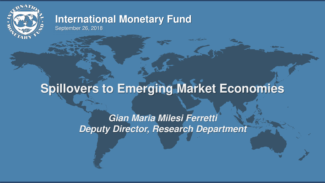

### **International Monetary Fund**  September 26, 2018

# **Spillovers to Emerging Market Economies**

*Gian Maria Milesi Ferretti Deputy Director, Research Department* 

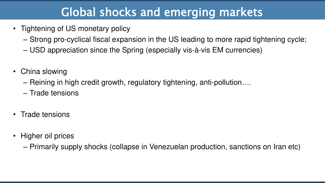# Global shocks and emerging markets

– Strong pro-cyclical fiscal expansion in the US leading to more rapid tightening cycle;

- Tightening of US monetary policy
	-
	- USD appreciation since the Spring (especially vis-à-vis EM currencies)
- China slowing
	- Reining in high credit growth, regulatory tightening, anti-pollution….
	- Trade tensions
- Trade tensions
- Higher oil prices
	-

– Primarily supply shocks (collapse in Venezuelan production, sanctions on Iran etc)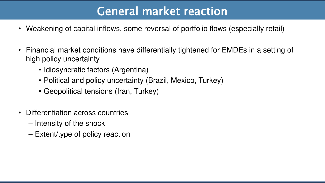# General market reaction

• Financial market conditions have differentially tightened for EMDEs in a setting of

- Weakening of capital inflows, some reversal of portfolio flows (especially retail)
- high policy uncertainty
	- Idiosyncratic factors (Argentina)
	- Political and policy uncertainty (Brazil, Mexico, Turkey)
	- Geopolitical tensions (Iran, Turkey)
- Differentiation across countries
	- Intensity of the shock
	- Extent/type of policy reaction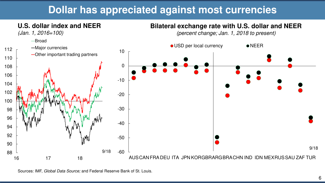





Sources: IMF, *Global Data Source;* and Federal Reserve Bank of St. Louis.





# **Dollar has appreciated against most currencies**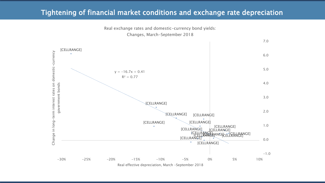### Tightening of financial market conditions and exchange rate depreciation



Real exchange rates and domestic-currency bond yields: Changes, March-September 2018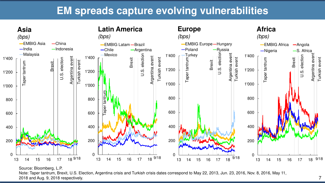

Note: Taper tantrum, Brexit, U.S. Election, Argentina crisis and Turkish crisis dates correspond to May 22, 2013, Jun. 23, 2016, Nov. 8, 2016, May 11, 2018 and Aug. 9, 2018 respectively.

7

## **EM spreads capture evolving vulnerabilities**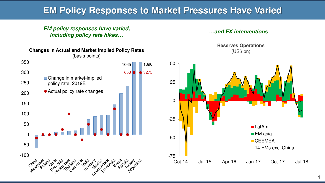## **EM Policy Responses to Market Pressures Have Varied**

**Changes in Actual and Market Implied Policy Rates**  (basis points) 350 1390 1065 300 650 • 3275  $\blacksquare$ ■ Change in market-implied 250 policy rate, 2019E Actual policy rate changes 200 150 100 50 0 -50 -100 100 100 5125 22-21 toia ria art iro riro cia ai residents side time d crite right es ital Finandric is ard via Critica **10 rile** 

#### *EM policy responses have varied, including policy rate hikes…*





**Reserves Operations**  (US\$ bn)

#### *…and FX interventions*

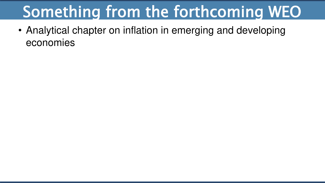# Something from the forthcoming WEO

# • Analytical chapter on inflation in emerging and developing

economies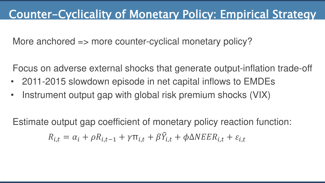# Counter-Cyclicality of Monetary Policy: Empirical Strategy

More anchored => more counter-cyclical monetary policy?

- Focus on adverse external shocks that generate output-inflation trade-off
- 2011-2015 slowdown episode in net capital inflows to EMDEs • Instrument output gap with global risk premium shocks (VIX)

 $R_{i,t} = \alpha_i + \rho R_{i,t-1} + \gamma \pi_{i,t} + \beta \hat{Y}_i$ 

Estimate output gap coefficient of monetary policy reaction function:  $\epsilon_{i,t} + \phi \Delta N E E R_{i,t} + \varepsilon_{i,t}$